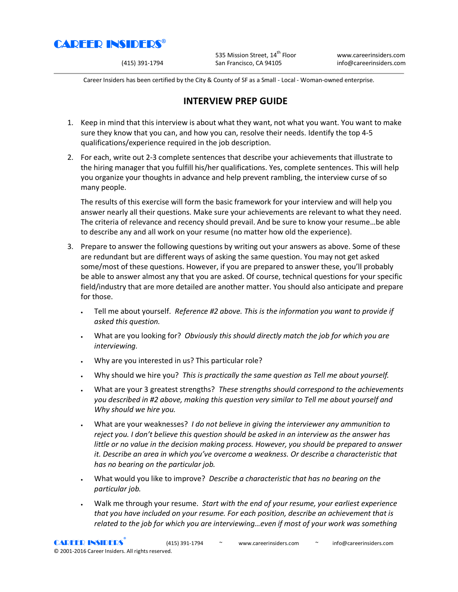

535 Mission Street, 14<sup>th</sup> Floor www.careerinsiders.com (415) 391-1794 San Francisco, CA 94105 info@careerinsiders.com

Career Insiders has been certified by the City & County of SF as a Small - Local - Woman-owned enterprise.

## **INTERVIEW PREP GUIDE**

- 1. Keep in mind that this interview is about what they want, not what you want. You want to make sure they know that you can, and how you can, resolve their needs. Identify the top 4-5 qualifications/experience required in the job description.
- 2. For each, write out 2-3 complete sentences that describe your achievements that illustrate to the hiring manager that you fulfill his/her qualifications. Yes, complete sentences. This will help you organize your thoughts in advance and help prevent rambling, the interview curse of so many people.

The results of this exercise will form the basic framework for your interview and will help you answer nearly all their questions. Make sure your achievements are relevant to what they need. The criteria of relevance and recency should prevail. And be sure to know your resume…be able to describe any and all work on your resume (no matter how old the experience).

- 3. Prepare to answer the following questions by writing out your answers as above. Some of these are redundant but are different ways of asking the same question. You may not get asked some/most of these questions. However, if you are prepared to answer these, you'll probably be able to answer almost any that you are asked. Of course, technical questions for your specific field/industry that are more detailed are another matter. You should also anticipate and prepare for those.
	- Tell me about yourself. *Reference #2 above. This is the information you want to provide if asked this question.*
	- What are you looking for? *Obviously this should directly match the job for which you are interviewing.*
	- Why are you interested in us? This particular role?
	- Why should we hire you? *This is practically the same question as Tell me about yourself.*
	- What are your 3 greatest strengths? *These strengths should correspond to the achievements you described in #2 above, making this question very similar to Tell me about yourself and Why should we hire you.*
	- What are your weaknesses? *I do not believe in giving the interviewer any ammunition to reject you. I don't believe this question should be asked in an interview as the answer has little or no value in the decision making process. However, you should be prepared to answer it. Describe an area in which you've overcome a weakness. Or describe a characteristic that has no bearing on the particular job.*
	- What would you like to improve? *Describe a characteristic that has no bearing on the particular job.*
	- Walk me through your resume. *Start with the end of your resume, your earliest experience that you have included on your resume. For each position, describe an achievement that is related to the job for which you are interviewing…even if most of your work was something*